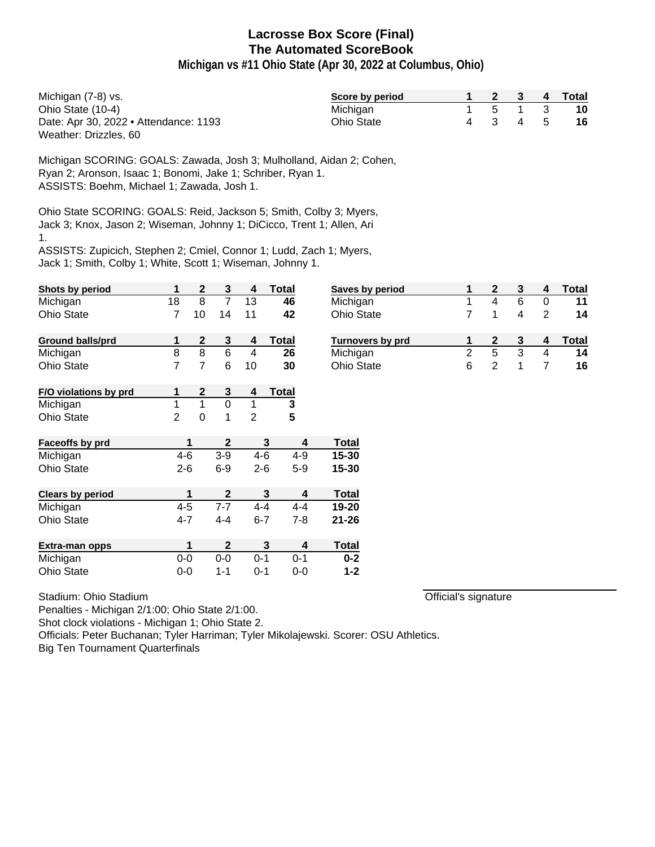**Michigan vs #11 Ohio State (Apr 30, 2022 at Columbus, Ohio)**

| Michigan (7-8) vs.                    | Score by period   |         |  | 2 3 4 Total |
|---------------------------------------|-------------------|---------|--|-------------|
| Ohio State (10-4)                     | Michigan          | 1 5 1 3 |  | 10          |
| Date: Apr 30, 2022 • Attendance: 1193 | <b>Ohio State</b> | 4 3 4 5 |  | -16         |
| Weather: Drizzles, 60                 |                   |         |  |             |

Michigan SCORING: GOALS: Zawada, Josh 3; Mulholland, Aidan 2; Cohen, Ryan 2; Aronson, Isaac 1; Bonomi, Jake 1; Schriber, Ryan 1. ASSISTS: Boehm, Michael 1; Zawada, Josh 1.

Ohio State SCORING: GOALS: Reid, Jackson 5; Smith, Colby 3; Myers, Jack 3; Knox, Jason 2; Wiseman, Johnny 1; DiCicco, Trent 1; Allen, Ari 1.

ASSISTS: Zupicich, Stephen 2; Cmiel, Connor 1; Ludd, Zach 1; Myers, Jack 1; Smith, Colby 1; White, Scott 1; Wiseman, Johnny 1.

| <b>Shots by period</b>  | 1              | $\overline{2}$ | 3            | 4       | Total        | <b>Saves</b> |
|-------------------------|----------------|----------------|--------------|---------|--------------|--------------|
| Michigan                | 18             | 8              | 7            | 13      | 46           | Michig       |
| <b>Ohio State</b>       | 7              | 10             | 14           | 11      | 42           | Ohio S       |
| <b>Ground balls/prd</b> | 1              | $\mathbf 2$    | 3            | 4       | <b>Total</b> | <b>Turno</b> |
| Michigan                | 8              | 8              | 6            | 4       | 26           | Michio       |
| <b>Ohio State</b>       | 7              | 7              | 6            | 10      | 30           | Ohio S       |
| F/O violations by prd   | 1              | $\mathbf 2$    | 3            | 4       | <b>Total</b> |              |
| Michigan                | 1              | 1              | 0            | 1       | 3            |              |
| <b>Ohio State</b>       | $\overline{2}$ | 0              | 1            | 2       | 5            |              |
| Faceoffs by prd         | 1              |                | $\mathbf{2}$ |         | 3<br>4       | Total        |
| Michigan                | $4 - 6$        |                | $3-9$        | $4 - 6$ | $4 - 9$      | 15-30        |
| <b>Ohio State</b>       | $2 - 6$        |                | $6-9$        | $2-6$   | $5-9$        | 15-30        |
| <b>Clears by period</b> | 1              |                | $\mathbf{2}$ |         | 3<br>4       | Total        |
| Michigan                | $4 - 5$        |                | $7 - 7$      | $4 - 4$ | $4 - 4$      | 19-20        |
| <b>Ohio State</b>       | $4 - 7$        |                | $4 - 4$      | $6 - 7$ | $7 - 8$      | $21 - 26$    |
| Extra-man opps          | 1              |                | $\mathbf{2}$ |         | 3<br>4       | <b>Total</b> |
| Michigan                | $0-0$          |                | $0-0$        | $0 - 1$ | $0 - 1$      | $0 - 2$      |
| <b>Ohio State</b>       | $0 - 0$        |                | 1-1          | $0 - 1$ | $0 - 0$      | $1 - 2$      |

| Stadium: Ohio Stadium |  |
|-----------------------|--|

Penalties - Michigan 2/1:00; Ohio State 2/1:00.

Shot clock violations - Michigan 1; Ohio State 2.

Officials: Peter Buchanan; Tyler Harriman; Tyler Mikolajewski. Scorer: OSU Athletics.

Big Ten Tournament Quarterfinals

| Saves by period         |   |   |   |   | Total |
|-------------------------|---|---|---|---|-------|
| Michigan                |   |   | 6 |   | 11    |
| <b>Ohio State</b>       |   |   |   | 2 | 14    |
|                         |   |   |   |   |       |
| <b>Turnovers by prd</b> |   | 2 |   |   | Total |
| Michigan                |   | 5 | 3 |   | 14    |
| <b>Ohio State</b>       | 6 |   |   |   | 16    |

Official's signature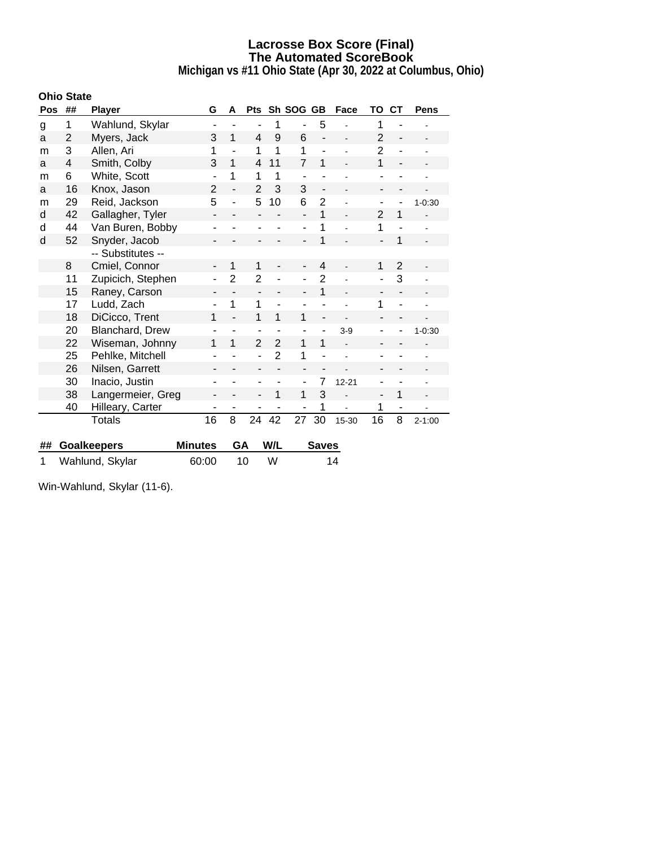**Michigan vs #11 Ohio State (Apr 30, 2022 at Columbus, Ohio)**

|     | <b>Ohio State</b> |                    |                          |                          |                          |                |                              |                              |                          |                          |                          |            |
|-----|-------------------|--------------------|--------------------------|--------------------------|--------------------------|----------------|------------------------------|------------------------------|--------------------------|--------------------------|--------------------------|------------|
| Pos | ##                | <b>Player</b>      | G                        | A                        | <b>Pts</b>               |                | Sh SOG GB                    |                              | Face                     | ΤО                       | <b>CT</b>                | Pens       |
| g   | 1                 | Wahlund, Skylar    | $\blacksquare$           |                          | $\blacksquare$           | 1              | $\blacksquare$               | 5                            |                          | 1                        |                          |            |
| a   | 2                 | Myers, Jack        | 3                        | 1                        | $\overline{4}$           | 9              | 6                            |                              |                          | 2                        |                          |            |
| m   | 3                 | Allen, Ari         | 1                        | L,                       | 1                        | 1              | 1                            | ä,                           |                          | $\overline{2}$           |                          |            |
| a   | 4                 | Smith, Colby       | 3                        | 1                        | $\overline{4}$           | 11             | 7                            | 1                            |                          | 1                        |                          |            |
| m   | 6                 | White, Scott       | ÷,                       | 1                        | 1                        | 1              | $\overline{\phantom{a}}$     |                              |                          | ٠                        |                          |            |
| a   | 16                | Knox, Jason        | $\overline{2}$           | $\overline{\phantom{a}}$ | $\overline{2}$           | 3              | 3                            | $\qquad \qquad \blacksquare$ | $\overline{\phantom{0}}$ | -                        | $\blacksquare$           |            |
| m   | 29                | Reid, Jackson      | 5                        |                          | 5                        | 10             | 6                            | $\overline{2}$               |                          |                          |                          | $1 - 0:30$ |
| d   | 42                | Gallagher, Tyler   | $\overline{\phantom{a}}$ |                          |                          |                | $\overline{a}$               | 1                            | L.                       | $\overline{2}$           | 1                        |            |
| d   | 44                | Van Buren, Bobby   | -                        |                          | $\overline{\phantom{0}}$ |                | $\overline{\phantom{a}}$     | 1                            |                          | 1                        |                          |            |
| d   | 52                | Snyder, Jacob      |                          |                          |                          |                |                              | 1                            |                          | $\blacksquare$           | 1                        |            |
|     |                   | -- Substitutes --  |                          |                          |                          |                |                              |                              |                          |                          |                          |            |
|     | 8                 | Cmiel, Connor      | -                        | 1                        | 1                        |                | $\qquad \qquad \blacksquare$ | $\overline{4}$               |                          | 1                        | $\overline{2}$           |            |
|     | 11                | Zupicich, Stephen  |                          | $\overline{2}$           | $\overline{2}$           |                |                              | $\overline{2}$               |                          |                          | 3                        |            |
|     | 15                | Raney, Carson      | -                        | ۰                        | $\overline{\phantom{a}}$ |                | $\overline{\phantom{a}}$     | 1                            | $\overline{a}$           | $\overline{\phantom{a}}$ | $\overline{\phantom{a}}$ |            |
|     | 17                | Ludd, Zach         | ۰                        | 1                        | 1                        |                | $\blacksquare$               |                              |                          | 1                        |                          |            |
|     | 18                | DiCicco, Trent     | 1                        |                          | 1                        | 1              | 1                            | $\overline{\phantom{a}}$     |                          |                          |                          |            |
|     | 20                | Blanchard, Drew    |                          |                          | ٠                        | ۰              | $\overline{\phantom{0}}$     |                              | $3-9$                    | ٠                        |                          | $1 - 0:30$ |
|     | 22                | Wiseman, Johnny    | 1                        | 1                        | $\overline{2}$           | $\overline{2}$ | 1                            | 1                            |                          | -                        |                          |            |
|     | 25                | Pehlke, Mitchell   |                          |                          |                          | $\overline{2}$ | 1                            |                              |                          |                          |                          |            |
|     | 26                | Nilsen, Garrett    | -                        |                          | $\overline{\phantom{a}}$ |                | $\overline{\phantom{a}}$     | $\overline{\phantom{a}}$     |                          | -                        | $\overline{\phantom{a}}$ |            |
|     | 30                | Inacio, Justin     | ۰                        |                          | $\overline{\phantom{0}}$ |                | $\overline{\phantom{a}}$     | 7                            | $12 - 21$                | ۰                        |                          |            |
|     | 38                | Langermeier, Greg  | -                        |                          | $\overline{\phantom{a}}$ | 1              | 1                            | 3                            |                          | ÷,                       | 1                        |            |
|     | 40                | Hilleary, Carter   | ۰                        |                          | -                        |                | $\overline{\phantom{a}}$     | 1                            |                          | 1                        | ۰                        |            |
|     |                   | Totals             | 16                       | 8                        | 24                       | 42             | 27                           | 30                           | 15-30                    | 16                       | 8                        | $2 - 1:00$ |
|     |                   |                    |                          |                          |                          |                |                              |                              |                          |                          |                          |            |
| ##  |                   | <b>Goalkeepers</b> | <b>Minutes</b>           | GA                       |                          | W/L            |                              | <b>Saves</b>                 |                          |                          |                          |            |

1 Wahlund, Skylar 60:00 10 W 14

Win-Wahlund, Skylar (11-6).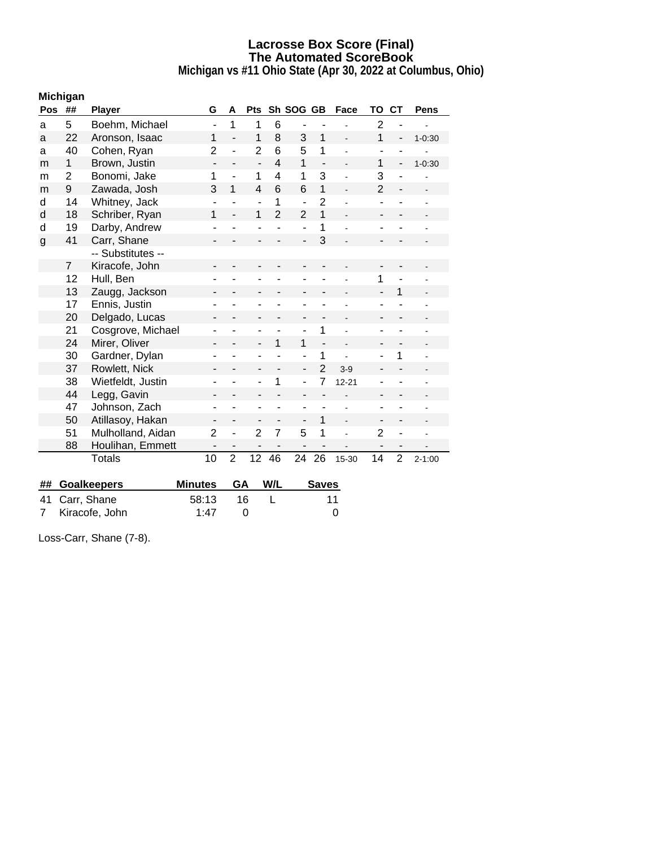**Michigan vs #11 Ohio State (Apr 30, 2022 at Columbus, Ohio)**

|              | Michigan       |                   |                |                |                          |                |                |                              |           |                |                          |             |
|--------------|----------------|-------------------|----------------|----------------|--------------------------|----------------|----------------|------------------------------|-----------|----------------|--------------------------|-------------|
| <b>Pos</b>   | ##             | <b>Player</b>     | G              | A              | <b>Pts</b>               |                | Sh SOG GB      |                              | Face      | TO             | <b>CT</b>                | <b>Pens</b> |
| a            | 5              | Boehm, Michael    | ä,             | 1              | 1                        | 6              |                |                              |           | $\overline{2}$ |                          |             |
| a            | 22             | Aronson, Isaac    | 1              |                | 1                        | 8              | 3              | 1                            |           | 1              | $\overline{\phantom{0}}$ | $1 - 0:30$  |
| a            | 40             | Cohen, Ryan       | $\overline{2}$ |                | $\overline{2}$           | 6              | 5              | 1                            |           |                |                          |             |
| m            | 1              | Brown, Justin     | ۰              |                | $\overline{\phantom{a}}$ | 4              | 1              | $\qquad \qquad \blacksquare$ |           | 1              | $\overline{\phantom{a}}$ | $1 - 0:30$  |
| m            | 2              | Bonomi, Jake      | 1              |                | 1                        | 4              | 1              | 3                            |           | 3              |                          |             |
| m            | 9              | Zawada, Josh      | 3              | 1              | $\overline{\mathbf{4}}$  | 6              | 6              | 1                            |           | $\overline{2}$ |                          |             |
| d            | 14             | Whitney, Jack     |                |                |                          | 1              | ÷,             | $\overline{2}$               |           |                |                          |             |
| d            | 18             | Schriber, Ryan    | 1              |                | 1                        | $\overline{2}$ | $\overline{2}$ | 1                            |           |                |                          |             |
| d            | 19             | Darby, Andrew     |                |                |                          |                |                | 1                            |           |                |                          |             |
| $\mathbf{g}$ | 41             | Carr, Shane       |                |                |                          |                |                | 3                            |           |                |                          |             |
|              |                | -- Substitutes -- |                |                |                          |                |                |                              |           |                |                          |             |
|              | $\overline{7}$ | Kiracofe, John    |                |                |                          |                |                |                              |           |                |                          |             |
|              | 12             | Hull, Ben         |                |                |                          |                |                |                              |           | 1              |                          |             |
|              | 13             | Zaugg, Jackson    |                |                |                          |                |                |                              |           |                | 1                        |             |
|              | 17             | Ennis, Justin     |                |                |                          |                |                |                              |           |                |                          |             |
|              | 20             | Delgado, Lucas    |                |                |                          |                |                |                              |           |                |                          |             |
|              | 21             | Cosgrove, Michael |                |                |                          |                |                | 1                            |           |                |                          |             |
|              | 24             | Mirer, Oliver     |                |                |                          | 1              | 1              |                              |           |                |                          |             |
|              | 30             | Gardner, Dylan    |                |                |                          |                |                | 1                            |           |                | 1                        |             |
|              | 37             | Rowlett, Nick     |                |                |                          |                |                | $\overline{2}$               | $3-9$     |                |                          |             |
|              | 38             | Wietfeldt, Justin |                |                |                          | 1              |                | 7                            | $12 - 21$ |                |                          |             |
|              | 44             | Legg, Gavin       |                |                |                          |                |                |                              |           |                | $\overline{a}$           |             |
|              | 47             | Johnson, Zach     |                |                |                          |                |                |                              |           |                |                          |             |
|              | 50             | Atillasoy, Hakan  |                |                |                          |                |                | 1                            |           | ۰              | $\overline{\phantom{0}}$ |             |
|              | 51             | Mulholland, Aidan | $\overline{2}$ |                | $\overline{2}$           | 7              | 5              | 1                            |           | $\overline{2}$ |                          |             |
|              | 88             | Houlihan, Emmett  |                |                |                          |                |                |                              |           |                | -                        |             |
|              |                | <b>Totals</b>     | 10             | $\overline{2}$ | 12                       | 46             | 24             | 26                           | 15-30     | 14             | $\overline{2}$           | $2 - 1:00$  |

| ## Goalkeepers   | Minutes GA |      | W/L | <b>Saves</b> |
|------------------|------------|------|-----|--------------|
| 41 Carr, Shane   | 58:13      | -16. |     | 11           |
| 7 Kiracofe, John | 1.47       |      |     |              |

Loss-Carr, Shane (7-8).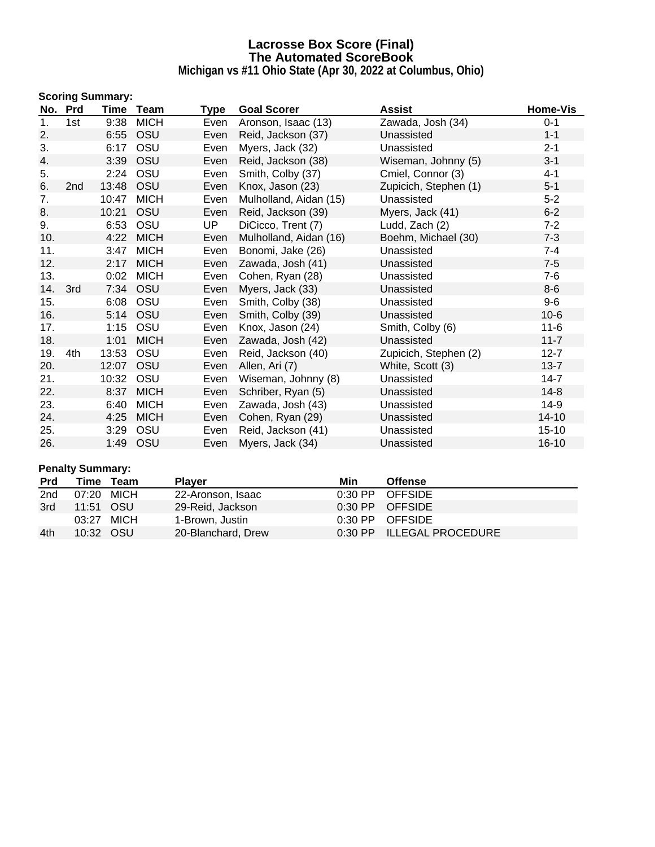**Michigan vs #11 Ohio State (Apr 30, 2022 at Columbus, Ohio)**

|     |                 | <b>Scoring Summary:</b> |             |      |                        |                       |                 |
|-----|-----------------|-------------------------|-------------|------|------------------------|-----------------------|-----------------|
|     | No. Prd         | Time                    | Team        | Type | <b>Goal Scorer</b>     | <b>Assist</b>         | <b>Home-Vis</b> |
| 1.  | 1st             | 9:38                    | <b>MICH</b> | Even | Aronson, Isaac (13)    | Zawada, Josh (34)     | $0 - 1$         |
| 2.  |                 | 6:55                    | OSU         | Even | Reid, Jackson (37)     | Unassisted            | $1 - 1$         |
| 3.  |                 | 6:17                    | OSU         | Even | Myers, Jack (32)       | Unassisted            | $2 - 1$         |
| 4.  |                 | 3:39                    | OSU         | Even | Reid, Jackson (38)     | Wiseman, Johnny (5)   | $3 - 1$         |
| 5.  |                 | 2:24                    | OSU         | Even | Smith, Colby (37)      | Cmiel, Connor (3)     | $4 - 1$         |
| 6.  | 2 <sub>nd</sub> | 13:48                   | OSU         | Even | Knox, Jason (23)       | Zupicich, Stephen (1) | $5 - 1$         |
| 7.  |                 | 10:47                   | <b>MICH</b> | Even | Mulholland, Aidan (15) | Unassisted            | $5 - 2$         |
| 8.  |                 | 10:21                   | OSU         | Even | Reid, Jackson (39)     | Myers, Jack (41)      | $6 - 2$         |
| 9.  |                 | 6:53                    | OSU         | UP   | DiCicco, Trent (7)     | Ludd, Zach (2)        | $7 - 2$         |
| 10. |                 | 4:22                    | <b>MICH</b> | Even | Mulholland, Aidan (16) | Boehm, Michael (30)   | $7 - 3$         |
| 11. |                 | 3:47                    | <b>MICH</b> | Even | Bonomi, Jake (26)      | Unassisted            | $7 - 4$         |
| 12. |                 | 2:17                    | <b>MICH</b> | Even | Zawada, Josh (41)      | Unassisted            | $7-5$           |
| 13. |                 | 0:02                    | <b>MICH</b> | Even | Cohen, Ryan (28)       | Unassisted            | $7-6$           |
| 14. | 3rd             | 7:34                    | OSU         | Even | Myers, Jack (33)       | Unassisted            | $8-6$           |
| 15. |                 | 6:08                    | OSU         | Even | Smith, Colby (38)      | Unassisted            | $9-6$           |
| 16. |                 | 5:14                    | OSU         | Even | Smith, Colby (39)      | Unassisted            | $10-6$          |
| 17. |                 | 1:15                    | OSU         | Even | Knox, Jason (24)       | Smith, Colby (6)      | $11 - 6$        |
| 18. |                 | 1:01                    | <b>MICH</b> | Even | Zawada, Josh (42)      | Unassisted            | $11 - 7$        |
| 19. | 4th             | 13:53                   | OSU         | Even | Reid, Jackson (40)     | Zupicich, Stephen (2) | $12 - 7$        |
| 20. |                 | 12:07                   | OSU         | Even | Allen, Ari (7)         | White, Scott (3)      | $13 - 7$        |
| 21. |                 | 10:32                   | OSU         | Even | Wiseman, Johnny (8)    | Unassisted            | $14 - 7$        |
| 22. |                 | 8:37                    | <b>MICH</b> | Even | Schriber, Ryan (5)     | Unassisted            | $14 - 8$        |
| 23. |                 | 6:40                    | <b>MICH</b> | Even | Zawada, Josh (43)      | Unassisted            | $14-9$          |
| 24. |                 | 4:25                    | <b>MICH</b> | Even | Cohen, Ryan (29)       | Unassisted            | $14 - 10$       |
| 25. |                 | 3:29                    | OSU         | Even | Reid, Jackson (41)     | Unassisted            | $15 - 10$       |
| 26. |                 | 1:49                    | OSU         | Even | Myers, Jack (34)       | Unassisted            | $16 - 10$       |

## **Penalty Summary:**

| <b>Prd</b> |            | Time Team | <b>Player</b>      | Min | <b>Offense</b>                   |
|------------|------------|-----------|--------------------|-----|----------------------------------|
| 2nd        | 07:20 MICH |           | 22-Aronson, Isaac  |     | $0:30$ PP OFFSIDE                |
| 3rd        | 11:51 OSU  |           | 29-Reid, Jackson   |     | $0:30$ PP $\overline{O}$ CFFSIDE |
|            | 03:27 MICH |           | 1-Brown, Justin    |     | 0:30 PP OFFSIDE                  |
| 4th        | 10:32 OSU  |           | 20-Blanchard, Drew |     | 0:30 PP ILLEGAL PROCEDURE        |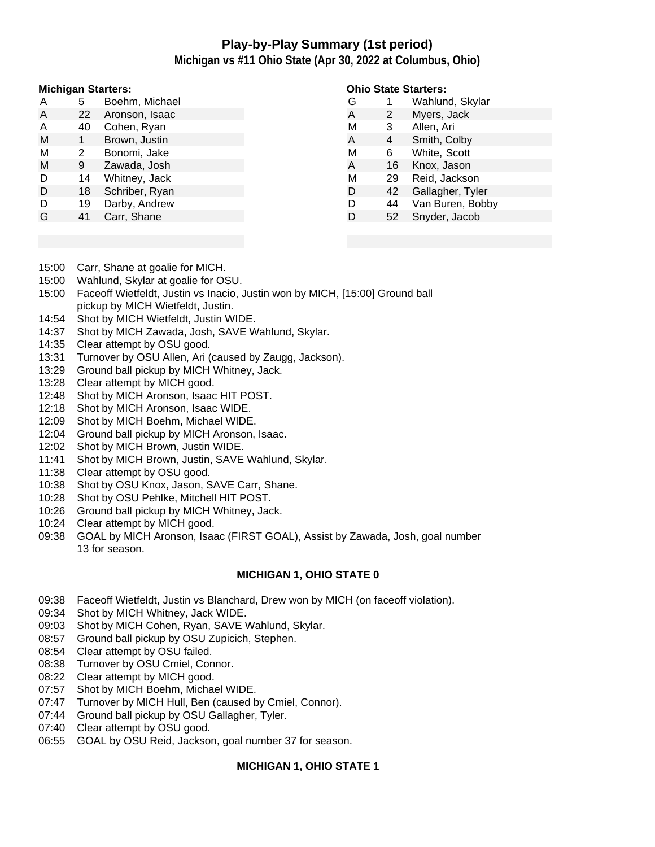# **Play-by-Play Summary (1st period)**

**Michigan vs #11 Ohio State (Apr 30, 2022 at Columbus, Ohio)**

#### **Michigan Starters:**

| А | 5  | Boehm, Michael |
|---|----|----------------|
| A | 22 | Aronson, Isaac |
| A | 40 | Cohen, Ryan    |
| M | 1  | Brown, Justin  |
| M | 2  | Bonomi, Jake   |
| М | 9  | Zawada, Josh   |
| D | 14 | Whitney, Jack  |
| D | 18 | Schriber, Ryan |
| D | 19 | Darby, Andrew  |
| G | 41 | Carr, Shane    |
|   |    |                |

#### **Ohio State Starters:**

| G |    | Wahlund, Skylar  |
|---|----|------------------|
| A | 2  | Myers, Jack      |
| M | 3  | Allen, Ari       |
| A | 4  | Smith, Colby     |
| M | 6  | White, Scott     |
| A | 16 | Knox, Jason      |
| M | 29 | Reid, Jackson    |
| D | 42 | Gallagher, Tyler |
| D | 44 | Van Buren, Bobby |
| D | 52 | Snyder, Jacob    |
|   |    |                  |

- 15:00 Carr, Shane at goalie for MICH.
- 15:00 Wahlund, Skylar at goalie for OSU.
- 15:00 Faceoff Wietfeldt, Justin vs Inacio, Justin won by MICH, [15:00] Ground ball pickup by MICH Wietfeldt, Justin.
- 14:54 Shot by MICH Wietfeldt, Justin WIDE.
- 14:37 Shot by MICH Zawada, Josh, SAVE Wahlund, Skylar.
- 14:35 Clear attempt by OSU good.
- 13:31 Turnover by OSU Allen, Ari (caused by Zaugg, Jackson).
- 13:29 Ground ball pickup by MICH Whitney, Jack.
- 13:28 Clear attempt by MICH good.
- 12:48 Shot by MICH Aronson, Isaac HIT POST.
- 12:18 Shot by MICH Aronson, Isaac WIDE.
- 12:09 Shot by MICH Boehm, Michael WIDE.
- 12:04 Ground ball pickup by MICH Aronson, Isaac.
- 12:02 Shot by MICH Brown, Justin WIDE.
- 11:41 Shot by MICH Brown, Justin, SAVE Wahlund, Skylar.
- 11:38 Clear attempt by OSU good.
- 10:38 Shot by OSU Knox, Jason, SAVE Carr, Shane.
- 10:28 Shot by OSU Pehlke, Mitchell HIT POST.
- 10:26 Ground ball pickup by MICH Whitney, Jack.
- 10:24 Clear attempt by MICH good.
- 09:38 GOAL by MICH Aronson, Isaac (FIRST GOAL), Assist by Zawada, Josh, goal number 13 for season.

#### **MICHIGAN 1, OHIO STATE 0**

- 09:38 Faceoff Wietfeldt, Justin vs Blanchard, Drew won by MICH (on faceoff violation).
- 09:34 Shot by MICH Whitney, Jack WIDE.
- 09:03 Shot by MICH Cohen, Ryan, SAVE Wahlund, Skylar.
- 08:57 Ground ball pickup by OSU Zupicich, Stephen.
- 08:54 Clear attempt by OSU failed.
- 08:38 Turnover by OSU Cmiel, Connor.
- 08:22 Clear attempt by MICH good.
- 07:57 Shot by MICH Boehm, Michael WIDE.
- 07:47 Turnover by MICH Hull, Ben (caused by Cmiel, Connor).
- 07:44 Ground ball pickup by OSU Gallagher, Tyler.
- 07:40 Clear attempt by OSU good.
- 06:55 GOAL by OSU Reid, Jackson, goal number 37 for season.

#### **MICHIGAN 1, OHIO STATE 1**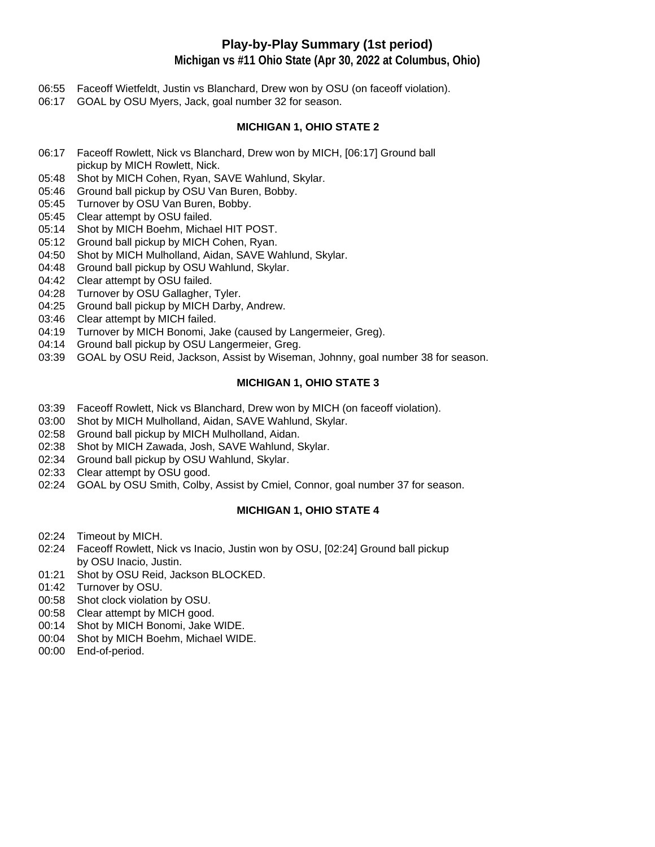# **Play-by-Play Summary (1st period)**

**Michigan vs #11 Ohio State (Apr 30, 2022 at Columbus, Ohio)**

- 06:55 Faceoff Wietfeldt, Justin vs Blanchard, Drew won by OSU (on faceoff violation).
- 06:17 GOAL by OSU Myers, Jack, goal number 32 for season.

### **MICHIGAN 1, OHIO STATE 2**

- 06:17 Faceoff Rowlett, Nick vs Blanchard, Drew won by MICH, [06:17] Ground ball pickup by MICH Rowlett, Nick.
- 05:48 Shot by MICH Cohen, Ryan, SAVE Wahlund, Skylar.
- 05:46 Ground ball pickup by OSU Van Buren, Bobby.
- 05:45 Turnover by OSU Van Buren, Bobby.
- 05:45 Clear attempt by OSU failed.
- 05:14 Shot by MICH Boehm, Michael HIT POST.
- 05:12 Ground ball pickup by MICH Cohen, Ryan.
- 04:50 Shot by MICH Mulholland, Aidan, SAVE Wahlund, Skylar.
- 04:48 Ground ball pickup by OSU Wahlund, Skylar.
- 04:42 Clear attempt by OSU failed.
- 04:28 Turnover by OSU Gallagher, Tyler.
- 04:25 Ground ball pickup by MICH Darby, Andrew.
- 03:46 Clear attempt by MICH failed.
- 04:19 Turnover by MICH Bonomi, Jake (caused by Langermeier, Greg).
- 04:14 Ground ball pickup by OSU Langermeier, Greg.
- 03:39 GOAL by OSU Reid, Jackson, Assist by Wiseman, Johnny, goal number 38 for season.

## **MICHIGAN 1, OHIO STATE 3**

- 03:39 Faceoff Rowlett, Nick vs Blanchard, Drew won by MICH (on faceoff violation).
- 03:00 Shot by MICH Mulholland, Aidan, SAVE Wahlund, Skylar.
- 02:58 Ground ball pickup by MICH Mulholland, Aidan.
- 02:38 Shot by MICH Zawada, Josh, SAVE Wahlund, Skylar.
- 02:34 Ground ball pickup by OSU Wahlund, Skylar.
- 02:33 Clear attempt by OSU good.
- 02:24 GOAL by OSU Smith, Colby, Assist by Cmiel, Connor, goal number 37 for season.

## **MICHIGAN 1, OHIO STATE 4**

- 02:24 Timeout by MICH.
- 02:24 Faceoff Rowlett, Nick vs Inacio, Justin won by OSU, [02:24] Ground ball pickup by OSU Inacio, Justin.
- 01:21 Shot by OSU Reid, Jackson BLOCKED.
- 01:42 Turnover by OSU.
- 00:58 Shot clock violation by OSU.
- 00:58 Clear attempt by MICH good.
- 00:14 Shot by MICH Bonomi, Jake WIDE.
- 00:04 Shot by MICH Boehm, Michael WIDE.
- 00:00 End-of-period.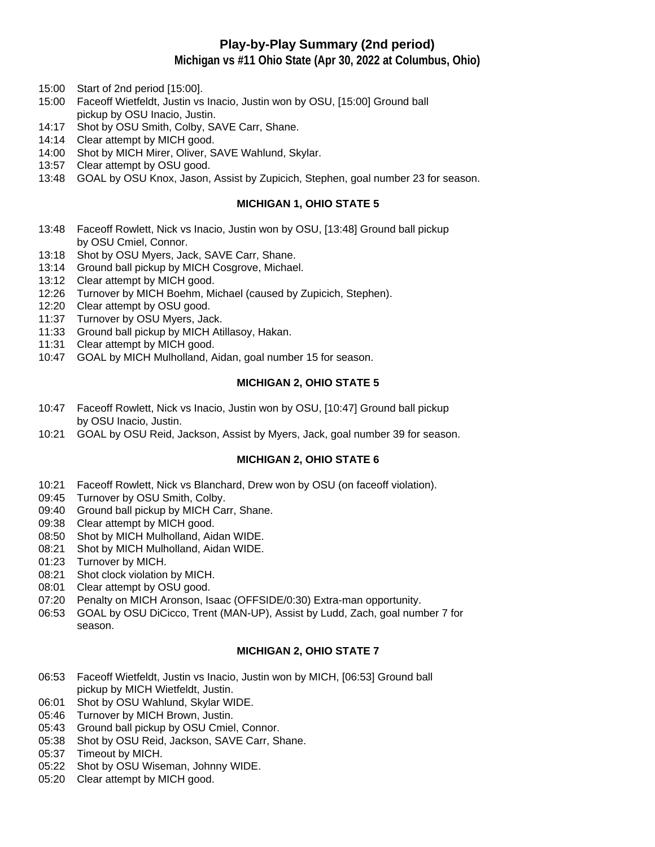# **Play-by-Play Summary (2nd period)**

**Michigan vs #11 Ohio State (Apr 30, 2022 at Columbus, Ohio)**

- 15:00 Start of 2nd period [15:00].
- 15:00 Faceoff Wietfeldt, Justin vs Inacio, Justin won by OSU, [15:00] Ground ball pickup by OSU Inacio, Justin.
- 14:17 Shot by OSU Smith, Colby, SAVE Carr, Shane.
- 14:14 Clear attempt by MICH good.
- 14:00 Shot by MICH Mirer, Oliver, SAVE Wahlund, Skylar.
- 13:57 Clear attempt by OSU good.
- 13:48 GOAL by OSU Knox, Jason, Assist by Zupicich, Stephen, goal number 23 for season.

### **MICHIGAN 1, OHIO STATE 5**

- 13:48 Faceoff Rowlett, Nick vs Inacio, Justin won by OSU, [13:48] Ground ball pickup by OSU Cmiel, Connor.
- 13:18 Shot by OSU Myers, Jack, SAVE Carr, Shane.
- 13:14 Ground ball pickup by MICH Cosgrove, Michael.
- 13:12 Clear attempt by MICH good.
- 12:26 Turnover by MICH Boehm, Michael (caused by Zupicich, Stephen).
- 12:20 Clear attempt by OSU good.
- 11:37 Turnover by OSU Myers, Jack.
- 11:33 Ground ball pickup by MICH Atillasoy, Hakan.
- 11:31 Clear attempt by MICH good.
- 10:47 GOAL by MICH Mulholland, Aidan, goal number 15 for season.

### **MICHIGAN 2, OHIO STATE 5**

- 10:47 Faceoff Rowlett, Nick vs Inacio, Justin won by OSU, [10:47] Ground ball pickup by OSU Inacio, Justin.
- 10:21 GOAL by OSU Reid, Jackson, Assist by Myers, Jack, goal number 39 for season.

### **MICHIGAN 2, OHIO STATE 6**

- 10:21 Faceoff Rowlett, Nick vs Blanchard, Drew won by OSU (on faceoff violation).
- 09:45 Turnover by OSU Smith, Colby.
- 09:40 Ground ball pickup by MICH Carr, Shane.
- 09:38 Clear attempt by MICH good.
- 08:50 Shot by MICH Mulholland, Aidan WIDE.
- 08:21 Shot by MICH Mulholland, Aidan WIDE.
- 01:23 Turnover by MICH.
- 08:21 Shot clock violation by MICH.
- 08:01 Clear attempt by OSU good.
- 07:20 Penalty on MICH Aronson, Isaac (OFFSIDE/0:30) Extra-man opportunity.
- 06:53 GOAL by OSU DiCicco, Trent (MAN-UP), Assist by Ludd, Zach, goal number 7 for season.

## **MICHIGAN 2, OHIO STATE 7**

- 06:53 Faceoff Wietfeldt, Justin vs Inacio, Justin won by MICH, [06:53] Ground ball pickup by MICH Wietfeldt, Justin.
- 06:01 Shot by OSU Wahlund, Skylar WIDE.
- 05:46 Turnover by MICH Brown, Justin.
- 05:43 Ground ball pickup by OSU Cmiel, Connor.
- 05:38 Shot by OSU Reid, Jackson, SAVE Carr, Shane.
- 05:37 Timeout by MICH.
- 05:22 Shot by OSU Wiseman, Johnny WIDE.
- 05:20 Clear attempt by MICH good.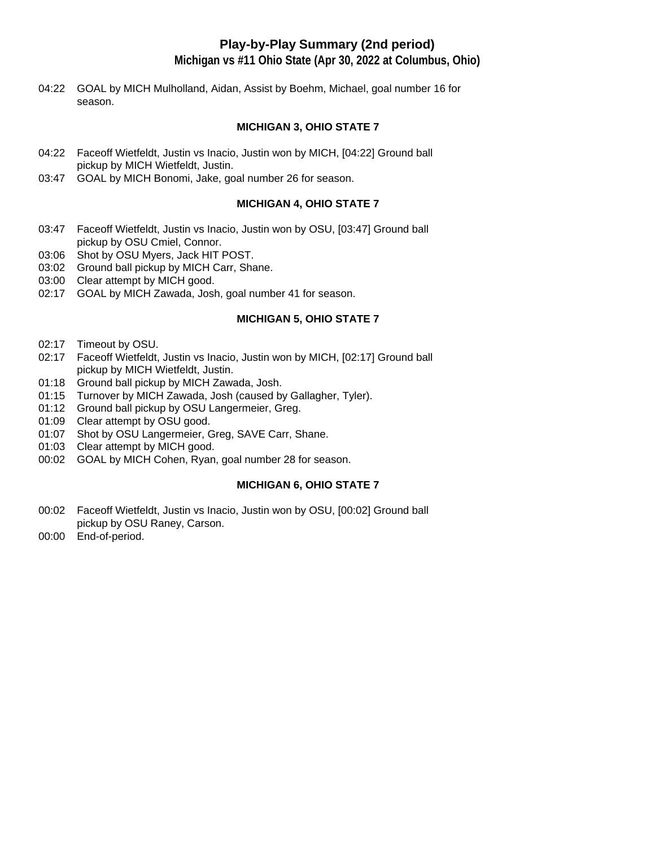# **Play-by-Play Summary (2nd period)**

**Michigan vs #11 Ohio State (Apr 30, 2022 at Columbus, Ohio)**

04:22 GOAL by MICH Mulholland, Aidan, Assist by Boehm, Michael, goal number 16 for season.

### **MICHIGAN 3, OHIO STATE 7**

- 04:22 Faceoff Wietfeldt, Justin vs Inacio, Justin won by MICH, [04:22] Ground ball pickup by MICH Wietfeldt, Justin.
- 03:47 GOAL by MICH Bonomi, Jake, goal number 26 for season.

#### **MICHIGAN 4, OHIO STATE 7**

- 03:47 Faceoff Wietfeldt, Justin vs Inacio, Justin won by OSU, [03:47] Ground ball pickup by OSU Cmiel, Connor.
- 03:06 Shot by OSU Myers, Jack HIT POST.
- 03:02 Ground ball pickup by MICH Carr, Shane.
- 03:00 Clear attempt by MICH good.
- 02:17 GOAL by MICH Zawada, Josh, goal number 41 for season.

### **MICHIGAN 5, OHIO STATE 7**

- 02:17 Timeout by OSU.
- 02:17 Faceoff Wietfeldt, Justin vs Inacio, Justin won by MICH, [02:17] Ground ball pickup by MICH Wietfeldt, Justin.
- 01:18 Ground ball pickup by MICH Zawada, Josh.
- 01:15 Turnover by MICH Zawada, Josh (caused by Gallagher, Tyler).
- 01:12 Ground ball pickup by OSU Langermeier, Greg.
- 01:09 Clear attempt by OSU good.
- 01:07 Shot by OSU Langermeier, Greg, SAVE Carr, Shane.
- 01:03 Clear attempt by MICH good.
- 00:02 GOAL by MICH Cohen, Ryan, goal number 28 for season.

### **MICHIGAN 6, OHIO STATE 7**

- 00:02 Faceoff Wietfeldt, Justin vs Inacio, Justin won by OSU, [00:02] Ground ball pickup by OSU Raney, Carson.
- 00:00 End-of-period.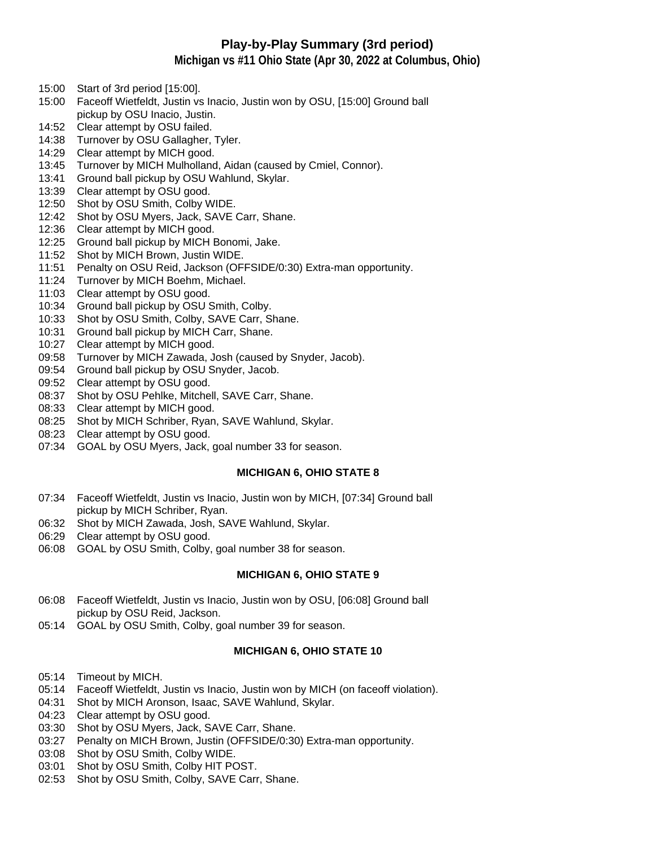# **Play-by-Play Summary (3rd period)**

**Michigan vs #11 Ohio State (Apr 30, 2022 at Columbus, Ohio)**

- 15:00 Start of 3rd period [15:00].
- 15:00 Faceoff Wietfeldt, Justin vs Inacio, Justin won by OSU, [15:00] Ground ball pickup by OSU Inacio, Justin.
- 14:52 Clear attempt by OSU failed.
- 14:38 Turnover by OSU Gallagher, Tyler.
- 14:29 Clear attempt by MICH good.
- 13:45 Turnover by MICH Mulholland, Aidan (caused by Cmiel, Connor).
- 13:41 Ground ball pickup by OSU Wahlund, Skylar.
- 13:39 Clear attempt by OSU good.
- 12:50 Shot by OSU Smith, Colby WIDE.
- 12:42 Shot by OSU Myers, Jack, SAVE Carr, Shane.
- 12:36 Clear attempt by MICH good.
- 12:25 Ground ball pickup by MICH Bonomi, Jake.
- 11:52 Shot by MICH Brown, Justin WIDE.
- 11:51 Penalty on OSU Reid, Jackson (OFFSIDE/0:30) Extra-man opportunity.
- 11:24 Turnover by MICH Boehm, Michael.
- 11:03 Clear attempt by OSU good.
- 10:34 Ground ball pickup by OSU Smith, Colby.
- 10:33 Shot by OSU Smith, Colby, SAVE Carr, Shane.
- 10:31 Ground ball pickup by MICH Carr, Shane.
- 10:27 Clear attempt by MICH good.
- 09:58 Turnover by MICH Zawada, Josh (caused by Snyder, Jacob).
- 09:54 Ground ball pickup by OSU Snyder, Jacob.
- 09:52 Clear attempt by OSU good.
- 08:37 Shot by OSU Pehlke, Mitchell, SAVE Carr, Shane.
- 08:33 Clear attempt by MICH good.
- 08:25 Shot by MICH Schriber, Ryan, SAVE Wahlund, Skylar.
- 08:23 Clear attempt by OSU good.
- 07:34 GOAL by OSU Myers, Jack, goal number 33 for season.

### **MICHIGAN 6, OHIO STATE 8**

- 07:34 Faceoff Wietfeldt, Justin vs Inacio, Justin won by MICH, [07:34] Ground ball pickup by MICH Schriber, Ryan.
- 06:32 Shot by MICH Zawada, Josh, SAVE Wahlund, Skylar.
- 06:29 Clear attempt by OSU good.
- 06:08 GOAL by OSU Smith, Colby, goal number 38 for season.

### **MICHIGAN 6, OHIO STATE 9**

- 06:08 Faceoff Wietfeldt, Justin vs Inacio, Justin won by OSU, [06:08] Ground ball pickup by OSU Reid, Jackson.
- 05:14 GOAL by OSU Smith, Colby, goal number 39 for season.

### **MICHIGAN 6, OHIO STATE 10**

- 05:14 Timeout by MICH.
- 05:14 Faceoff Wietfeldt, Justin vs Inacio, Justin won by MICH (on faceoff violation).
- 04:31 Shot by MICH Aronson, Isaac, SAVE Wahlund, Skylar.
- 04:23 Clear attempt by OSU good.
- 03:30 Shot by OSU Myers, Jack, SAVE Carr, Shane.
- 03:27 Penalty on MICH Brown, Justin (OFFSIDE/0:30) Extra-man opportunity.
- 03:08 Shot by OSU Smith, Colby WIDE.
- 03:01 Shot by OSU Smith, Colby HIT POST.
- 02:53 Shot by OSU Smith, Colby, SAVE Carr, Shane.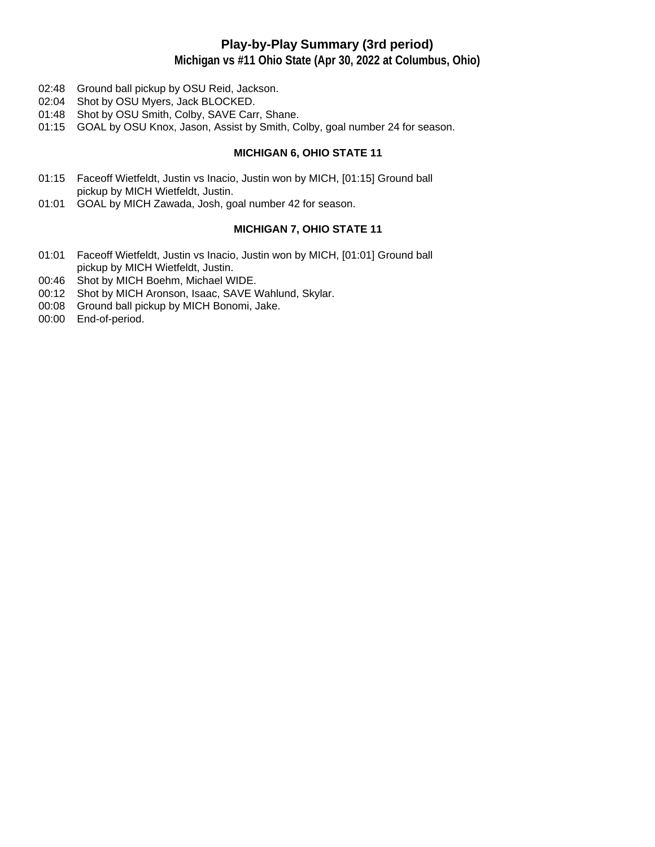# **Play-by-Play Summary (3rd period)**

**Michigan vs #11 Ohio State (Apr 30, 2022 at Columbus, Ohio)**

- 02:48 Ground ball pickup by OSU Reid, Jackson.
- 02:04 Shot by OSU Myers, Jack BLOCKED.
- 01:48 Shot by OSU Smith, Colby, SAVE Carr, Shane.
- 01:15 GOAL by OSU Knox, Jason, Assist by Smith, Colby, goal number 24 for season.

#### **MICHIGAN 6, OHIO STATE 11**

- 01:15 Faceoff Wietfeldt, Justin vs Inacio, Justin won by MICH, [01:15] Ground ball pickup by MICH Wietfeldt, Justin.
- 01:01 GOAL by MICH Zawada, Josh, goal number 42 for season.

### **MICHIGAN 7, OHIO STATE 11**

- 01:01 Faceoff Wietfeldt, Justin vs Inacio, Justin won by MICH, [01:01] Ground ball pickup by MICH Wietfeldt, Justin.
- 00:46 Shot by MICH Boehm, Michael WIDE.
- 00:12 Shot by MICH Aronson, Isaac, SAVE Wahlund, Skylar.
- 00:08 Ground ball pickup by MICH Bonomi, Jake.
- 00:00 End-of-period.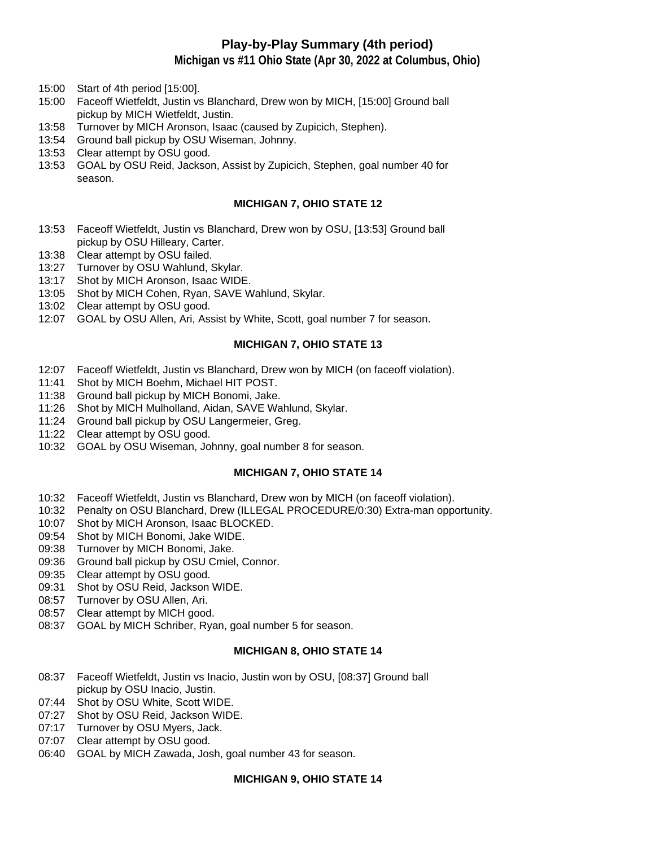# **Play-by-Play Summary (4th period)**

**Michigan vs #11 Ohio State (Apr 30, 2022 at Columbus, Ohio)**

- 15:00 Start of 4th period [15:00].
- 15:00 Faceoff Wietfeldt, Justin vs Blanchard, Drew won by MICH, [15:00] Ground ball pickup by MICH Wietfeldt, Justin.
- 13:58 Turnover by MICH Aronson, Isaac (caused by Zupicich, Stephen).
- 13:54 Ground ball pickup by OSU Wiseman, Johnny.
- 13:53 Clear attempt by OSU good.
- 13:53 GOAL by OSU Reid, Jackson, Assist by Zupicich, Stephen, goal number 40 for season.

#### **MICHIGAN 7, OHIO STATE 12**

- 13:53 Faceoff Wietfeldt, Justin vs Blanchard, Drew won by OSU, [13:53] Ground ball pickup by OSU Hilleary, Carter.
- 13:38 Clear attempt by OSU failed.
- 13:27 Turnover by OSU Wahlund, Skylar.
- 13:17 Shot by MICH Aronson, Isaac WIDE.
- 13:05 Shot by MICH Cohen, Ryan, SAVE Wahlund, Skylar.
- 13:02 Clear attempt by OSU good.
- 12:07 GOAL by OSU Allen, Ari, Assist by White, Scott, goal number 7 for season.

#### **MICHIGAN 7, OHIO STATE 13**

- 12:07 Faceoff Wietfeldt, Justin vs Blanchard, Drew won by MICH (on faceoff violation).
- 11:41 Shot by MICH Boehm, Michael HIT POST.
- 11:38 Ground ball pickup by MICH Bonomi, Jake.
- 11:26 Shot by MICH Mulholland, Aidan, SAVE Wahlund, Skylar.
- 11:24 Ground ball pickup by OSU Langermeier, Greg.
- 11:22 Clear attempt by OSU good.
- 10:32 GOAL by OSU Wiseman, Johnny, goal number 8 for season.

#### **MICHIGAN 7, OHIO STATE 14**

- 10:32 Faceoff Wietfeldt, Justin vs Blanchard, Drew won by MICH (on faceoff violation).
- 10:32 Penalty on OSU Blanchard, Drew (ILLEGAL PROCEDURE/0:30) Extra-man opportunity.
- 10:07 Shot by MICH Aronson, Isaac BLOCKED.
- 09:54 Shot by MICH Bonomi, Jake WIDE.
- 09:38 Turnover by MICH Bonomi, Jake.
- 09:36 Ground ball pickup by OSU Cmiel, Connor.
- 09:35 Clear attempt by OSU good.
- 09:31 Shot by OSU Reid, Jackson WIDE.
- 08:57 Turnover by OSU Allen, Ari.
- 08:57 Clear attempt by MICH good.
- 08:37 GOAL by MICH Schriber, Ryan, goal number 5 for season.

#### **MICHIGAN 8, OHIO STATE 14**

- 08:37 Faceoff Wietfeldt, Justin vs Inacio, Justin won by OSU, [08:37] Ground ball pickup by OSU Inacio, Justin.
- 07:44 Shot by OSU White, Scott WIDE.
- 07:27 Shot by OSU Reid, Jackson WIDE.
- 07:17 Turnover by OSU Myers, Jack.
- 07:07 Clear attempt by OSU good.
- 06:40 GOAL by MICH Zawada, Josh, goal number 43 for season.

#### **MICHIGAN 9, OHIO STATE 14**